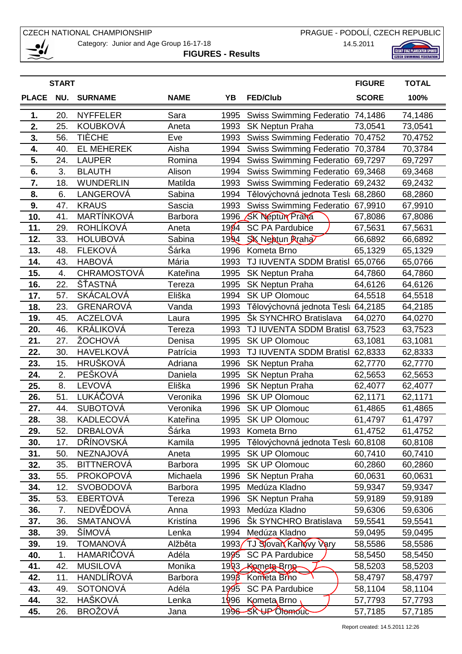Category: Junior and Age Group 16-17-18

PRAGUE - PODOLÍ, CZECH REPUBLIC

14.5.2011

**FIGURES - Results** 



| <b>START</b> |     |                    |             |         |                                    | <b>FIGURE</b> | <b>TOTAL</b> |
|--------------|-----|--------------------|-------------|---------|------------------------------------|---------------|--------------|
| <b>PLACE</b> | NU. | <b>SURNAME</b>     | <b>NAME</b> | YB      | <b>FED/Club</b>                    | <b>SCORE</b>  | 100%         |
| 1.           | 20. | <b>NYFFELER</b>    | Sara        | 1995    | Swiss Swimming Federatio 74,1486   |               | 74,1486      |
| 2.           | 25. | <b>KOUBKOVÁ</b>    | Aneta       | 1993    | <b>SK Neptun Praha</b>             | 73,0541       | 73,0541      |
| 3.           | 56. | <b>TIÈCHE</b>      | Eve         | 1993    | Swiss Swimming Federatio 70,4752   |               | 70,4752      |
| 4.           | 40. | <b>EL MEHEREK</b>  | Aisha       | 1994    | Swiss Swimming Federatio 70,3784   |               | 70,3784      |
| 5.           | 24. | <b>LAUPER</b>      | Romina      | 1994    | <b>Swiss Swimming Federatio</b>    | 69,7297       | 69,7297      |
| 6.           | 3.  | <b>BLAUTH</b>      | Alison      | 1994    | <b>Swiss Swimming Federatio</b>    | 69,3468       | 69,3468      |
| 7.           | 18. | <b>WUNDERLIN</b>   | Matilda     | 1993    | <b>Swiss Swimming Federatio</b>    | 69,2432       | 69,2432      |
| 8.           | 6.  | LANGEROVÁ          | Sabina      | 1994    | Tělovýchovná jednota Tesl: 68,2860 |               | 68,2860      |
| 9.           | 47. | <b>KRAUS</b>       | Sascia      | 1993    | Swiss Swimming Federatio 67,9910   |               | 67,9910      |
| 10.          | 41. | MARTÍNKOVÁ         | Barbora     | 1996    | <b>SK Neptun Prana</b>             | 67,8086       | 67,8086      |
| 11.          | 29. | <b>ROHLÍKOVÁ</b>   | Aneta       | 1994    | <b>SC PA Pardubice</b>             | 67,5631       | 67,5631      |
| 12.          | 33. | <b>HOLUBOVÁ</b>    | Sabina      | 1994    | <b>SK Neatun Praha</b>             | 66,6892       | 66,6892      |
| 13.          | 48. | <b>FLEKOVÁ</b>     | Šárka       | 1996    | Kometa Brno                        | 65,1329       | 65,1329      |
| 14.          | 43. | <b>HABOVÁ</b>      | Mária       | 1993    | TJ IUVENTA SDDM Bratisl 65,0766    |               | 65,0766      |
| 15.          | 4.  | <b>CHRAMOSTOVÁ</b> | Kateřina    | 1995    | <b>SK Neptun Praha</b>             | 64,7860       | 64,7860      |
| 16.          | 22. | ŠŤASTNÁ            | Tereza      | 1995    | SK Neptun Praha                    | 64,6126       | 64,6126      |
| 17.          | 57. | <b>SKÁCALOVÁ</b>   | Eliška      | 1994    | <b>SK UP Olomouc</b>               | 64,5518       | 64,5518      |
| 18.          | 23. | <b>GRENAROVÁ</b>   | Vanda       | 1993    | Tělovýchovná jednota Tesl: 64,2185 |               | 64,2185      |
| 19.          | 45. | <b>ACZELOVÁ</b>    | Laura       | 1995    | <b>Sk SYNCHRO Bratislava</b>       | 64,0270       | 64,0270      |
| 20.          | 46. | KRÁLIKOVÁ          | Tereza      | 1993    | TJ IUVENTA SDDM Bratisl            | 63,7523       | 63,7523      |
| 21.          | 27. | ŽOCHOVÁ            | Denisa      | 1995    | <b>SK UP Olomouc</b>               | 63,1081       | 63,1081      |
| 22.          | 30. | <b>HAVELKOVÁ</b>   | Patrícia    | 1993    | TJ IUVENTA SDDM Bratisl 62,8333    |               | 62,8333      |
| 23.          | 15. | HRUŠKOVÁ           | Adriana     | 1996    | <b>SK Neptun Praha</b>             | 62,7770       | 62,7770      |
| 24.          | 2.  | PEŠKOVÁ            | Daniela     | 1995    | <b>SK Neptun Praha</b>             | 62,5653       | 62,5653      |
| 25.          | 8.  | LEVOVÁ             | Eliška      | 1996    | SK Neptun Praha                    | 62,4077       | 62,4077      |
| 26.          | 51. | LUKÁČOVÁ           | Veronika    | 1996    | <b>SK UP Olomouc</b>               | 62,1171       | 62,1171      |
| 27.          | 44. | <b>SUBOTOVÁ</b>    | Veronika    | 1996    | <b>SK UP Olomouc</b>               | 61,4865       | 61,4865      |
| 28.          | 38. | <b>KADLECOVÁ</b>   | Kateřina    | 1995    | <b>SK UP Olomouc</b>               | 61,4797       | 61,4797      |
| 29.          | 52. | <b>DRBALOVÁ</b>    | Šárka       | 1993    | Kometa Brno                        | 61,4752       | 61,4752      |
| 30.          | 17. | DŘÍNOVSKÁ          | Kamila      | 1995    | Tělovýchovná jednota Tesl: 60,8108 |               | 60,8108      |
| 31.          | 50. | <b>NEZNAJOVÁ</b>   | Aneta       | 1995    | <b>SK UP Olomouc</b>               | 60,7410       | 60,7410      |
| 32.          | 35. | <b>BITTNEROVÁ</b>  | Barbora     | 1995    | <b>SK UP Olomouc</b>               | 60,2860       | 60,2860      |
| 33.          | 55. | <b>PROKOPOVÁ</b>   | Michaela    | 1996    | <b>SK Neptun Praha</b>             | 60,0631       | 60,0631      |
| 34.          | 12. | <b>SVOBODOVÁ</b>   | Barbora     | 1995    | Medúza Kladno                      | 59,9347       | 59,9347      |
| 35.          | 53. | <b>EBERTOVÁ</b>    | Tereza      | 1996    | <b>SK Neptun Praha</b>             | 59,9189       | 59,9189      |
| 36.          | 7.  | NEDVĚDOVÁ          | Anna        | 1993    | Medúza Kladno                      | 59,6306       | 59,6306      |
| 37.          | 36. | <b>SMATANOVÁ</b>   | Kristína    | 1996    | Šk SYNCHRO Bratislava              | 59,5541       | 59,5541      |
| 38.          | 39. | ŠÍMOVÁ             | Lenka       | 1994    | Medúza Kladno                      | 59,0495       | 59,0495      |
| 39.          | 19. | <b>TOMANOVÁ</b>    | Alžběta     | 1993    | TJ Slovan Karlovy Vary             | 58,5586       | 58,5586      |
| 40.          | 1.  | HAMARIČOVÁ         | Adéla       | 1995    | <b>SC PA Pardubice</b>             | 58,5450       | 58,5450      |
| 41.          | 42. | <b>MUSILOVÁ</b>    | Monika      |         | 1993 Kameta Brng                   | 58,5203       | 58,5203      |
| 42.          | 11. | HANDLÍŘOVÁ         | Barbora     | 199 $6$ | Kometa Brho                        | 58,4797       | 58,4797      |
| 43.          | 49. | <b>SOTONOVÁ</b>    | Adéla       | 1995    | <b>SC PA Pardubice</b>             | 58,1104       | 58,1104      |
| 44.          | 32. | HAŠKOVÁ            | Lenka       | 1996    | Kometa Brno                        | 57,7793       | 57,7793      |
| 45.          | 26. | <b>BROŽOVÁ</b>     | Jana        |         | 1996 SK UP Olomouc                 | 57,7185       | 57,7185      |